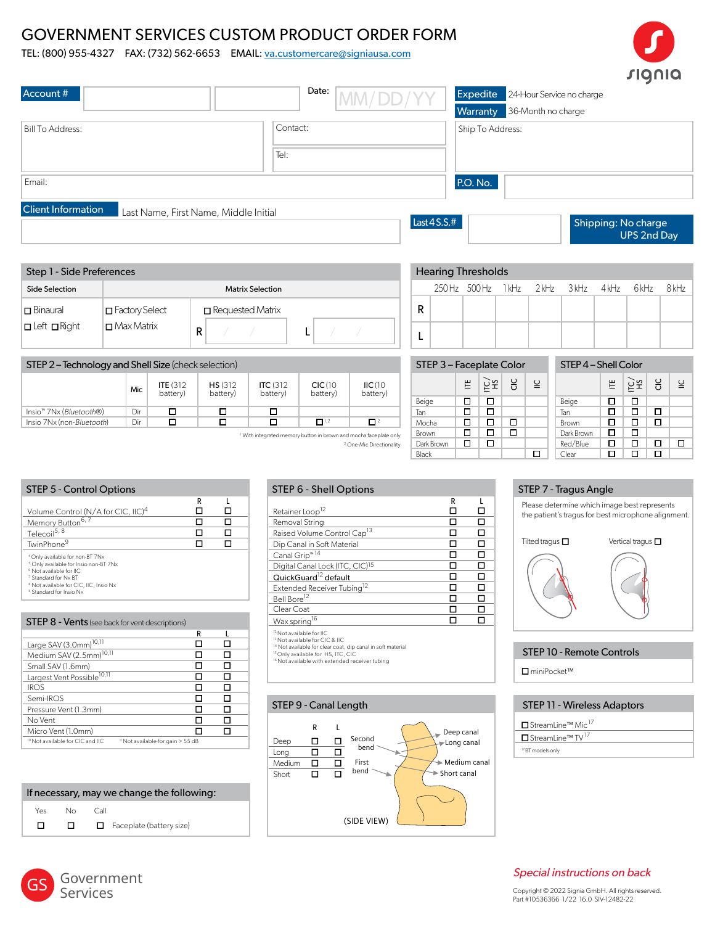# GOVERNMENT SERVICES CUSTOM PRODUCT ORDER FORM

TEL: (800) 955-4327 FAX: (732) 562-6653 EMAIL: va.customercare@signiausa.com

| Account #                                                          | Date:<br>MM/DD/YY | Expedite<br>24-Hour Service no charge<br><b>Warranty</b><br>36-Month no charge | ◢                                  |
|--------------------------------------------------------------------|-------------------|--------------------------------------------------------------------------------|------------------------------------|
| <b>Bill To Address:</b>                                            | Contact:<br>Tel:  | Ship To Address:                                                               |                                    |
| Email:                                                             |                   | P.O. No.                                                                       |                                    |
| <b>Client Information</b><br>Last Name, First Name, Middle Initial | Last $4$ S.S.#    |                                                                                | Shipping: No charge<br>UPS 2nd Day |

| Step 1 - Side Preferences                   |                                            |   |  |                         |  |  |  |  |
|---------------------------------------------|--------------------------------------------|---|--|-------------------------|--|--|--|--|
| Side Selection                              |                                            |   |  | <b>Matrix Selection</b> |  |  |  |  |
| $\Box$ Binaural<br>$\Box$ Left $\Box$ Right | $\Box$ Factory Select<br>$\Box$ Max Matrix | R |  | □ Requested Matrix      |  |  |  |  |

| <b>STEP 2 – Technology and Shell Size (check selection)</b> |     |                              |                             |                      |                       |                    |  |  |
|-------------------------------------------------------------|-----|------------------------------|-----------------------------|----------------------|-----------------------|--------------------|--|--|
|                                                             | Mic | <b>ITE</b> (312)<br>battery) | <b>HS</b> (312)<br>battery) | ITC(312)<br>battery) | CIC(10)<br>battery)   | IC(10)<br>battery) |  |  |
| $Insio™$ 7Nx ( <i>Bluetooth®</i> )                          | Dir |                              |                             |                      |                       |                    |  |  |
| Insio 7Nx (non-Bluetooth)                                   | Dir |                              |                             |                      | $\Box$ <sup>1,2</sup> | П2                 |  |  |

<sup>1</sup> With integrated memory button in brown and mocha faceplate only

STEP 6 - Shell Options

 $QuickGuard<sup>12</sup> default$ 

<sup>12</sup> Not available for IIC <sup>13</sup> Not available for CIC & IIC

<sup>2</sup> One-Mic Directionality

Retainer Loop12 n n Removal String n n Raised Volume Control Cap13 n n Dip Canal in Soft Material  $\square$  $\Box$   $\Box$   $\Box$   $\Box$ Digital Canal Lock (ITC, CIC)15 n n

Extended Receiver Tubing<sup>12</sup>  $\Box$   $\Box$ <br>Bell Bore<sup>12</sup>  $\Box$ Bell Bore<sup>12</sup>  $\Box$ Clear Coat n n Wax spring16 n n

| STEP 5 - Control Options                                                                |   |  |
|-----------------------------------------------------------------------------------------|---|--|
|                                                                                         | R |  |
| Volume Control (N/A for CIC, IIC) <sup>4</sup>                                          |   |  |
| Memory Button <sup>6, 7</sup>                                                           |   |  |
| Telecoil <sup>5, 8</sup>                                                                |   |  |
| TwinPhone <sup>9</sup>                                                                  |   |  |
| <sup>4</sup> Only available for non-BT 7Nx                                              |   |  |
| <sup>5</sup> Only available for Insio non-BT 7Nx                                        |   |  |
| <sup>6</sup> Not available for IIC                                                      |   |  |
| <sup>7</sup> Standard for Nx BT                                                         |   |  |
| <sup>8</sup> Not available for CIC, IIC, Insio Nx<br><sup>9</sup> Standard for Insio Nx |   |  |
|                                                                                         |   |  |

### STEP 8 - Vents (see back for vent descriptions)

|                                             | R                                            |  |
|---------------------------------------------|----------------------------------------------|--|
| Large SAV (3.0mm) <sup>10,11</sup>          |                                              |  |
| Medium SAV (2.5mm) <sup>10,11</sup>         |                                              |  |
| Small SAV (1.6mm)                           |                                              |  |
| Largest Vent Possible <sup>10,11</sup>      |                                              |  |
| <b>IROS</b>                                 |                                              |  |
| Semi-IROS                                   |                                              |  |
| Pressure Vent (1.3mm)                       |                                              |  |
| No Vent                                     |                                              |  |
| Micro Vent (1.0mm)                          |                                              |  |
| <sup>10</sup> Not available for CIC and IIC | <sup>11</sup> Not available for gain > 55 dB |  |

|     |    |      | If necessary, may we change the following: |
|-----|----|------|--------------------------------------------|
| Yes | Nο | Call |                                            |
|     |    |      | $\Box$ Faceplate (battery size)            |

| STEP 9 - Canal Length |          |        |                |  |
|-----------------------|----------|--------|----------------|--|
|                       | R        |        |                |  |
| Deep<br>Long          | ◻<br>ப   | ⊔<br>□ | Second<br>bend |  |
| Medium<br>Short       | п<br>I I | п<br>п | First<br>bend  |  |
|                       |          |        |                |  |

<sup>14</sup> Not available for clear coat, dip canal in soft material <sup>14</sup> Not available for clear coat, dip canal in soft material

<sup>16</sup> Not available with extended receiver tubing

(SIDE VIEW)

# Hearing Threshold

| <b>TICATING THESHOUS</b> |  |  |                                                   |  |  |  |  |  |  |  |
|--------------------------|--|--|---------------------------------------------------|--|--|--|--|--|--|--|
|                          |  |  | 250 Hz 500 Hz 1 kHz 2 kHz 3 kHz 4 kHz 6 kHz 8 kHz |  |  |  |  |  |  |  |
|                          |  |  |                                                   |  |  |  |  |  |  |  |
|                          |  |  |                                                   |  |  |  |  |  |  |  |

| STEP 3 - Faceplate Color |   |      |   |             |  |  |  |
|--------------------------|---|------|---|-------------|--|--|--|
|                          | 岂 | Est. | ă | $\subseteq$ |  |  |  |
| Beige                    | □ | □    |   |             |  |  |  |
| Tan                      | ⊓ | □    |   |             |  |  |  |
| Mocha                    | □ | □    | □ |             |  |  |  |
| Brown                    | □ | □    | □ |             |  |  |  |
| Dark Brown               |   | п    |   |             |  |  |  |
| Black                    |   |      |   |             |  |  |  |

R L

#### STEP 4 – Shell Color  $E \mid \overline{55}$ CIC  $\subseteq$ Beige  $\overline{\Box}$  $\overline{\square}$  $\Box$  $\Box$  $\overline{\square}$ Tan  $\overline{\square}$  $\overline{\square}$  $\overline{\square}$ Brown Dark Brown  $\Box$  $\Box$  $\overline{\square}$ Red/Blue  $\Box$  $\Box$  $\Box$ Clear  $\Box$  $\overline{\square}$  $\overline{\Box}$

### STEP 7 - Tragus Angle



#### STEP 10 - Remote Controls

n miniPocket™

### STEP 11 - Wireless Adaptors

| $\Box$ Streaml ine™ Mic <sup>17</sup>       |
|---------------------------------------------|
| ■ Streaml ine <sup>™</sup> TV <sup>17</sup> |
| <sup>17</sup> BT models only                |

# Short canal

Deep canal **Long canal** Medium canal

# Government

**Services** 

Special instructions on back